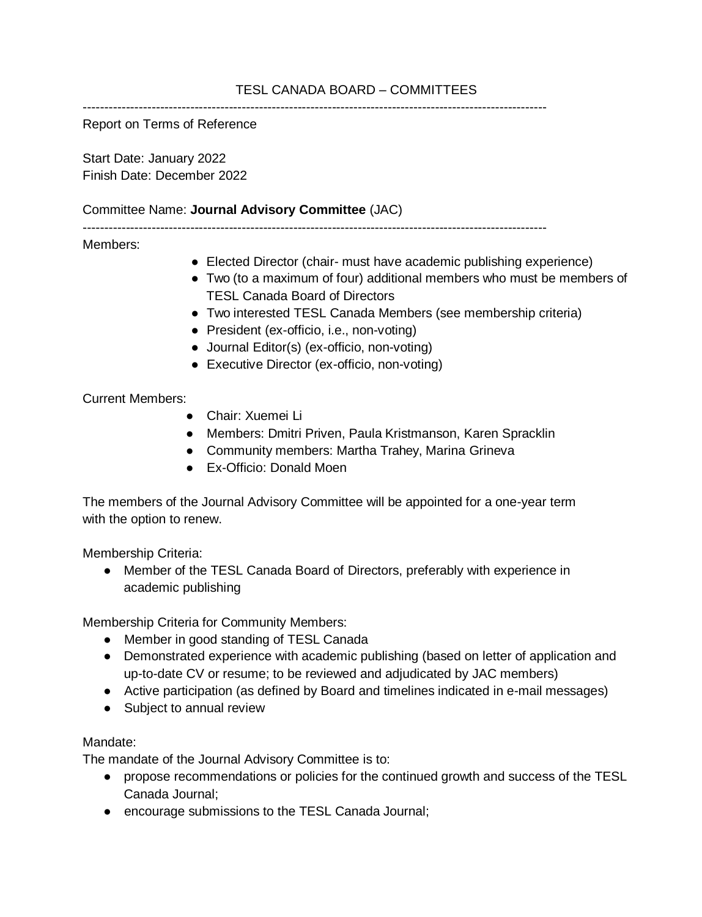# TESL CANADA BOARD – COMMITTEES

------------------------------------------------------------------------------------------------------------

Report on Terms of Reference

Start Date: January 2022 Finish Date: December 2022

## Committee Name: **Journal Advisory Committee** (JAC)

------------------------------------------------------------------------------------------------------------

## Members:

- Elected Director (chair- must have academic publishing experience)
- Two (to a maximum of four) additional members who must be members of TESL Canada Board of Directors
- Two interested TESL Canada Members (see membership criteria)
- President (ex-officio, i.e., non-voting)
- Journal Editor(s) (ex-officio, non-voting)
- Executive Director (ex-officio, non-voting)

## Current Members:

- Chair: Xuemei Li
- Members: Dmitri Priven, Paula Kristmanson, Karen Spracklin
- Community members: Martha Trahey, Marina Grineva
- Ex-Officio: Donald Moen

The members of the Journal Advisory Committee will be appointed for a one-year term with the option to renew.

Membership Criteria:

• Member of the TESL Canada Board of Directors, preferably with experience in academic publishing

Membership Criteria for Community Members:

- Member in good standing of TESL Canada
- Demonstrated experience with academic publishing (based on letter of application and up-to-date CV or resume; to be reviewed and adjudicated by JAC members)
- Active participation (as defined by Board and timelines indicated in e-mail messages)
- Subject to annual review

## Mandate:

The mandate of the Journal Advisory Committee is to:

- propose recommendations or policies for the continued growth and success of the TESL Canada Journal;
- encourage submissions to the TESL Canada Journal;